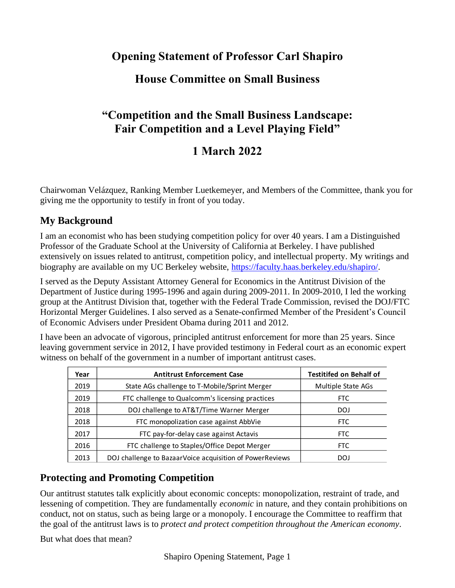## **Opening Statement of Professor Carl Shapiro**

## **House Committee on Small Business**

# **"Competition and the Small Business Landscape: Fair Competition and a Level Playing Field"**

## **1 March 2022**

Chairwoman Velázquez, Ranking Member Luetkemeyer, and Members of the Committee, thank you for giving me the opportunity to testify in front of you today.

#### **My Background**

I am an economist who has been studying competition policy for over 40 years. I am a Distinguished Professor of the Graduate School at the University of California at Berkeley. I have published extensively on issues related to antitrust, competition policy, and intellectual property. My writings and biography are available on my UC Berkeley website, [https://faculty.haas.berkeley.edu/shapiro/.](https://faculty.haas.berkeley.edu/shapiro/)

I served as the Deputy Assistant Attorney General for Economics in the Antitrust Division of the Department of Justice during 1995-1996 and again during 2009-2011. In 2009-2010, I led the working group at the Antitrust Division that, together with the Federal Trade Commission, revised the DOJ/FTC Horizontal Merger Guidelines. I also served as a Senate-confirmed Member of the President's Council of Economic Advisers under President Obama during 2011 and 2012.

I have been an advocate of vigorous, principled antitrust enforcement for more than 25 years. Since leaving government service in 2012, I have provided testimony in Federal court as an economic expert witness on behalf of the government in a number of important antitrust cases.

|                                                                                                                                                                                                                                                                 | Year | <b>Antitrust Enforcement Case</b>                        | <b>Testitifed on Behalf of</b> |
|-----------------------------------------------------------------------------------------------------------------------------------------------------------------------------------------------------------------------------------------------------------------|------|----------------------------------------------------------|--------------------------------|
|                                                                                                                                                                                                                                                                 | 2019 | State AGs challenge to T-Mobile/Sprint Merger            | Multiple State AGs             |
|                                                                                                                                                                                                                                                                 | 2019 | FTC challenge to Qualcomm's licensing practices          | <b>FTC</b>                     |
|                                                                                                                                                                                                                                                                 | 2018 | DOJ challenge to AT&T/Time Warner Merger                 | <b>DOJ</b>                     |
|                                                                                                                                                                                                                                                                 | 2018 | FTC monopolization case against AbbVie                   | <b>FTC</b>                     |
|                                                                                                                                                                                                                                                                 | 2017 | FTC pay-for-delay case against Actavis                   | <b>FTC</b>                     |
|                                                                                                                                                                                                                                                                 | 2016 | FTC challenge to Staples/Office Depot Merger             | <b>FTC</b>                     |
|                                                                                                                                                                                                                                                                 | 2013 | DOJ challenge to BazaarVoice acquisition of PowerReviews | <b>DOJ</b>                     |
| <b>Protecting and Promoting Competition</b><br>Our antitrust statutes talk explicitly about economic concepts: monopolization, restraint of trade, a<br>lessening of competition. They are fundamentally <i>economic</i> in nature, and they contain prohibitio |      |                                                          |                                |
| conduct, not on status, such as being large or a monopoly. I encourage the Committee to reaffirm<br>the goal of the antitrust laws is to <i>protect and protect competition throughout the American econo</i>                                                   |      |                                                          |                                |
| But what does that mean?                                                                                                                                                                                                                                        |      |                                                          |                                |

#### **Protecting and Promoting Competition**

Our antitrust statutes talk explicitly about economic concepts: monopolization, restraint of trade, and lessening of competition. They are fundamentally *economic* in nature, and they contain prohibitions on conduct, not on status, such as being large or a monopoly. I encourage the Committee to reaffirm that the goal of the antitrust laws is to *protect and protect competition throughout the American economy*.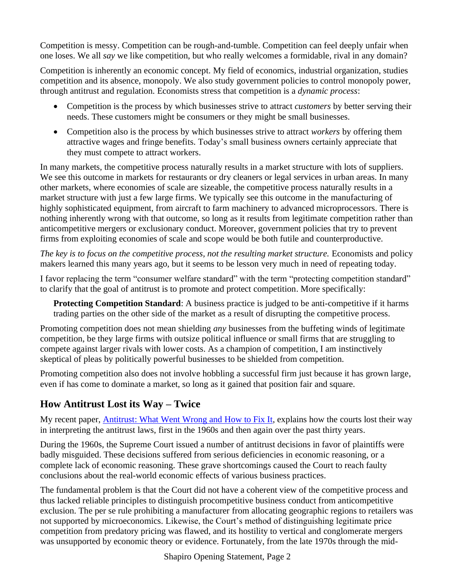Competition is messy. Competition can be rough-and-tumble. Competition can feel deeply unfair when one loses. We all *say* we like competition, but who really welcomes a formidable, rival in any domain?

Competition is inherently an economic concept. My field of economics, industrial organization, studies competition and its absence, monopoly. We also study government policies to control monopoly power, through antitrust and regulation. Economists stress that competition is a *dynamic process*:

- Competition is the process by which businesses strive to attract *customers* by better serving their needs. These customers might be consumers or they might be small businesses.
- Competition also is the process by which businesses strive to attract *workers* by offering them attractive wages and fringe benefits. Today's small business owners certainly appreciate that they must compete to attract workers.

In many markets, the competitive process naturally results in a market structure with lots of suppliers. We see this outcome in markets for restaurants or dry cleaners or legal services in urban areas. In many other markets, where economies of scale are sizeable, the competitive process naturally results in a market structure with just a few large firms. We typically see this outcome in the manufacturing of highly sophisticated equipment, from aircraft to farm machinery to advanced microprocessors. There is nothing inherently wrong with that outcome, so long as it results from legitimate competition rather than anticompetitive mergers or exclusionary conduct. Moreover, government policies that try to prevent firms from exploiting economies of scale and scope would be both futile and counterproductive.

*The key is to focus on the competitive process, not the resulting market structure.* Economists and policy makers learned this many years ago, but it seems to be lesson very much in need of repeating today.

I favor replacing the term "consumer welfare standard" with the term "protecting competition standard" to clarify that the goal of antitrust is to promote and protect competition. More specifically:

**Protecting Competition Standard:** A business practice is judged to be anti-competitive if it harms trading parties on the other side of the market as a result of disrupting the competitive process.

Promoting competition does not mean shielding *any* businesses from the buffeting winds of legitimate competition, be they large firms with outsize political influence or small firms that are struggling to compete against larger rivals with lower costs. As a champion of competition, I am instinctively skeptical of pleas by politically powerful businesses to be shielded from competition.

Promoting competition also does not involve hobbling a successful firm just because it has grown large, even if has come to dominate a market, so long as it gained that position fair and square.

### **How Antitrust Lost its Way – Twice**

My recent paper, [Antitrust: What Went Wrong and How to Fix It,](https://faculty.haas.berkeley.edu/shapiro/fixingantitrust.pdf) explains how the courts lost their way in interpreting the antitrust laws, first in the 1960s and then again over the past thirty years.

During the 1960s, the Supreme Court issued a number of antitrust decisions in favor of plaintiffs were badly misguided. These decisions suffered from serious deficiencies in economic reasoning, or a complete lack of economic reasoning. These grave shortcomings caused the Court to reach faulty conclusions about the real-world economic effects of various business practices.

The fundamental problem is that the Court did not have a coherent view of the competitive process and thus lacked reliable principles to distinguish procompetitive business conduct from anticompetitive exclusion. The per se rule prohibiting a manufacturer from allocating geographic regions to retailers was not supported by microeconomics. Likewise, the Court's method of distinguishing legitimate price competition from predatory pricing was flawed, and its hostility to vertical and conglomerate mergers was unsupported by economic theory or evidence. Fortunately, from the late 1970s through the mid-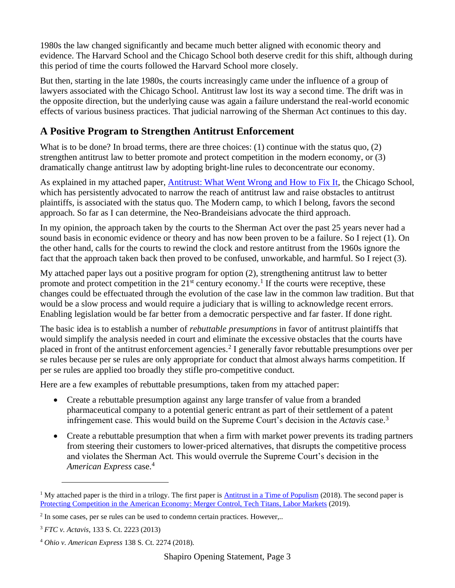1980s the law changed significantly and became much better aligned with economic theory and evidence. The Harvard School and the Chicago School both deserve credit for this shift, although during this period of time the courts followed the Harvard School more closely.

But then, starting in the late 1980s, the courts increasingly came under the influence of a group of lawyers associated with the Chicago School. Antitrust law lost its way a second time. The drift was in the opposite direction, but the underlying cause was again a failure understand the real-world economic effects of various business practices. That judicial narrowing of the Sherman Act continues to this day.

#### **A Positive Program to Strengthen Antitrust Enforcement**

What is to be done? In broad terms, there are three choices: (1) continue with the status quo, (2) strengthen antitrust law to better promote and protect competition in the modern economy, or (3) dramatically change antitrust law by adopting bright-line rules to deconcentrate our economy.

As explained in my attached paper, [Antitrust: What Went Wrong and How to Fix It,](https://faculty.haas.berkeley.edu/shapiro/fixingantitrust.pdf) the Chicago School, which has persistently advocated to narrow the reach of antitrust law and raise obstacles to antitrust plaintiffs, is associated with the status quo. The Modern camp, to which I belong, favors the second approach. So far as I can determine, the Neo-Brandeisians advocate the third approach.

In my opinion, the approach taken by the courts to the Sherman Act over the past 25 years never had a sound basis in economic evidence or theory and has now been proven to be a failure. So I reject (1). On the other hand, calls for the courts to rewind the clock and restore antitrust from the 1960s ignore the fact that the approach taken back then proved to be confused, unworkable, and harmful. So I reject (3).

My attached paper lays out a positive program for option (2), strengthening antitrust law to better promote and protect competition in the  $21<sup>st</sup>$  century economy.<sup>1</sup> If the courts were receptive, these changes could be effectuated through the evolution of the case law in the common law tradition. But that would be a slow process and would require a judiciary that is willing to acknowledge recent errors. Enabling legislation would be far better from a democratic perspective and far faster. If done right.

The basic idea is to establish a number of *rebuttable presumptions* in favor of antitrust plaintiffs that would simplify the analysis needed in court and eliminate the excessive obstacles that the courts have placed in front of the antitrust enforcement agencies.<sup>2</sup> I generally favor rebuttable presumptions over per se rules because per se rules are only appropriate for conduct that almost always harms competition. If per se rules are applied too broadly they stifle pro-competitive conduct.

Here are a few examples of rebuttable presumptions, taken from my attached paper:

- Create a rebuttable presumption against any large transfer of value from a branded pharmaceutical company to a potential generic entrant as part of their settlement of a patent infringement case. This would build on the Supreme Court's decision in the *Actavis* case. 3
- Create a rebuttable presumption that when a firm with market power prevents its trading partners from steering their customers to lower-priced alternatives, that disrupts the competitive process and violates the Sherman Act. This would overrule the Supreme Court's decision in the *American Express* case.<sup>4</sup>

<sup>&</sup>lt;sup>1</sup> My attached paper is the third in a trilogy. The first paper is [Antitrust in a Time of Populism](https://faculty.haas.berkeley.edu/shapiro/antitrustpopulism.pdf) (2018). The second paper is [Protecting Competition in the American Economy: Merger](https://faculty.haas.berkeley.edu/shapiro/protectingcompetition.pdf) Control, Tech Titans, Labor Markets (2019).

 $2 \text{ In some cases, per se rules can be used to condenn certain practices. However,...}$ 

<sup>3</sup> *FTC v. Actavis,* 133 S. Ct. 2223 (2013)

<sup>4</sup> *Ohio v. American Express* 138 S. Ct. 2274 (2018).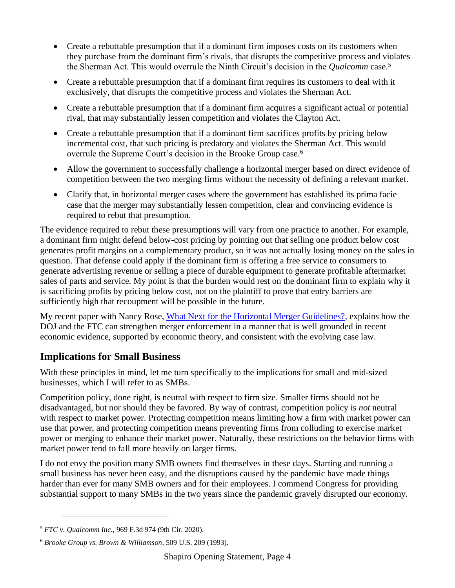- Create a rebuttable presumption that if a dominant firm imposes costs on its customers when they purchase from the dominant firm's rivals, that disrupts the competitive process and violates the Sherman Act. This would overrule the Ninth Circuit's decision in the *Qualcomm* case.<sup>5</sup>
- Create a rebuttable presumption that if a dominant firm requires its customers to deal with it exclusively, that disrupts the competitive process and violates the Sherman Act.
- Create a rebuttable presumption that if a dominant firm acquires a significant actual or potential rival, that may substantially lessen competition and violates the Clayton Act.
- Create a rebuttable presumption that if a dominant firm sacrifices profits by pricing below incremental cost, that such pricing is predatory and violates the Sherman Act. This would overrule the Supreme Court's decision in the Brooke Group case.<sup>6</sup>
- Allow the government to successfully challenge a horizontal merger based on direct evidence of competition between the two merging firms without the necessity of defining a relevant market.
- Clarify that, in horizontal merger cases where the government has established its prima facie case that the merger may substantially lessen competition, clear and convincing evidence is required to rebut that presumption.

The evidence required to rebut these presumptions will vary from one practice to another. For example, a dominant firm might defend below-cost pricing by pointing out that selling one product below cost generates profit margins on a complementary product, so it was not actually losing money on the sales in question. That defense could apply if the dominant firm is offering a free service to consumers to generate advertising revenue or selling a piece of durable equipment to generate profitable aftermarket sales of parts and service. My point is that the burden would rest on the dominant firm to explain why it is sacrificing profits by pricing below cost, not on the plaintiff to prove that entry barriers are sufficiently high that recoupment will be possible in the future.

My recent paper with Nancy Rose, [What Next for the Horizontal Merger Guidelines?,](https://faculty.haas.berkeley.edu/shapiro/updatingHMGs.pdf) explains how the DOJ and the FTC can strengthen merger enforcement in a manner that is well grounded in recent economic evidence, supported by economic theory, and consistent with the evolving case law.

#### **Implications for Small Business**

With these principles in mind, let me turn specifically to the implications for small and mid-sized businesses, which I will refer to as SMBs.

Competition policy, done right, is neutral with respect to firm size. Smaller firms should not be disadvantaged, but nor should they be favored. By way of contrast, competition policy is *not* neutral with respect to market power. Protecting competition means limiting how a firm with market power can use that power, and protecting competition means preventing firms from colluding to exercise market power or merging to enhance their market power. Naturally, these restrictions on the behavior firms with market power tend to fall more heavily on larger firms.

I do not envy the position many SMB owners find themselves in these days. Starting and running a small business has never been easy, and the disruptions caused by the pandemic have made things harder than ever for many SMB owners and for their employees. I commend Congress for providing substantial support to many SMBs in the two years since the pandemic gravely disrupted our economy.

<sup>5</sup> *FTC v. Qualcomm Inc.,* 969 F.3d 974 (9th Cir. 2020).

<sup>6</sup> *Brooke Group vs. Brown & Williamson*, 509 U.S. 209 (1993).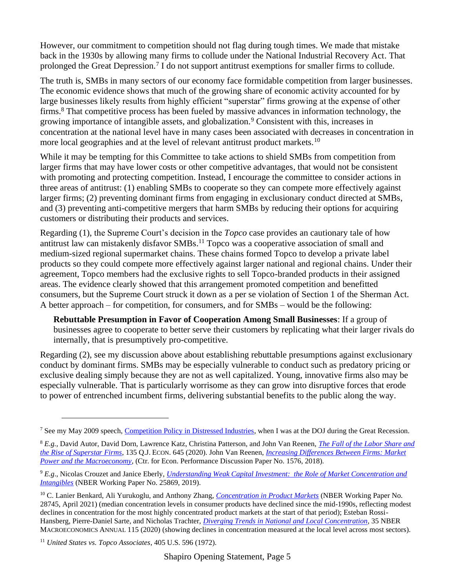However, our commitment to competition should not flag during tough times. We made that mistake back in the 1930s by allowing many firms to collude under the National Industrial Recovery Act. That prolonged the Great Depression.<sup>7</sup> I do not support antitrust exemptions for smaller firms to collude.

The truth is, SMBs in many sectors of our economy face formidable competition from larger businesses. The economic evidence shows that much of the growing share of economic activity accounted for by large businesses likely results from highly efficient "superstar" firms growing at the expense of other firms.<sup>8</sup> That competitive process has been fueled by massive advances in information technology, the growing importance of intangible assets, and globalization.<sup>9</sup> Consistent with this, increases in concentration at the national level have in many cases been associated with decreases in concentration in more local geographies and at the level of relevant antitrust product markets.<sup>10</sup>

While it may be tempting for this Committee to take actions to shield SMBs from competition from larger firms that may have lower costs or other competitive advantages, that would not be consistent with promoting and protecting competition. Instead, I encourage the committee to consider actions in three areas of antitrust: (1) enabling SMBs to cooperate so they can compete more effectively against larger firms; (2) preventing dominant firms from engaging in exclusionary conduct directed at SMBs, and (3) preventing anti-competitive mergers that harm SMBs by reducing their options for acquiring customers or distributing their products and services.

Regarding (1), the Supreme Court's decision in the *Topco* case provides an cautionary tale of how antitrust law can mistakenly disfavor SMBs.<sup>11</sup> Topco was a cooperative association of small and medium-sized regional supermarket chains. These chains formed Topco to develop a private label products so they could compete more effectively against larger national and regional chains. Under their agreement, Topco members had the exclusive rights to sell Topco-branded products in their assigned areas. The evidence clearly showed that this arrangement promoted competition and benefitted consumers, but the Supreme Court struck it down as a per se violation of Section 1 of the Sherman Act. A better approach – for competition, for consumers, and for SMBs – would be the following:

**Rebuttable Presumption in Favor of Cooperation Among Small Businesses**: If a group of businesses agree to cooperate to better serve their customers by replicating what their larger rivals do internally, that is presumptively pro-competitive.

Regarding (2), see my discussion above about establishing rebuttable presumptions against exclusionary conduct by dominant firms. SMBs may be especially vulnerable to conduct such as predatory pricing or exclusive dealing simply because they are not as well capitalized. Young, innovative firms also may be especially vulnerable. That is particularly worrisome as they can grow into disruptive forces that erode to power of entrenched incumbent firms, delivering substantial benefits to the public along the way.

<sup>&</sup>lt;sup>7</sup> See my May 2009 speech, Competition Policy [in Distressed Industries,](https://faculty.haas.berkeley.edu/shapiro/distressed.pdf) when I was at the DOJ during the Great Recession.

<sup>8</sup> *E.g.,* David Autor, David Dorn, Lawrence Katz, Christina Patterson, and John Van Reenen, *[The Fall of the Labor Share and](https://academic.oup.com/qje/article/135/2/645/5721266)  [the Rise of Superstar Firms](https://academic.oup.com/qje/article/135/2/645/5721266)*, 135 Q.J. ECON. 645 (2020). John Van Reenen, *[Increasing Differences Between Firms: Market](https://cep.lse.ac.uk/pubs/download/dp1576.pdf)  [Power and the Macroeconomy](https://cep.lse.ac.uk/pubs/download/dp1576.pdf)*, (Ctr. for Econ. Performance Discussion Paper No. 1576, 2018).

<sup>9</sup> *E.g*., Nicolas Crouzet and Janice Eberly, *[Understanding Weak Capital Investment: the Role of Market Concentration and](https://www.nber.org/papers/w25869)  [Intangibles](https://www.nber.org/papers/w25869)* (NBER Working Paper No. 25869, 2019).

<sup>10</sup> C. Lanier Benkard, Ali Yurukoglu, and Anthony Zhang, *[Concentration in Product Markets](https://www.nber.org/papers/w28745)* (NBER Working Paper No. 28745, April 2021) (median concentration levels in consumer products have declined since the mid-1990s, reflecting modest declines in concentration for the most highly concentrated product markets at the start of that period); Esteban Rossi-Hansberg, Pierre-Daniel Sarte, and Nicholas Trachter, *[Diverging Trends in National and Local Concentration](https://www.journals.uchicago.edu/doi/abs/10.1086/712317)*, 35 NBER MACROECONOMICS ANNUAL 115 (2020) (showing declines in concentration measured at the local level across most sectors).

<sup>11</sup> *United States vs. Topco Associates*, 405 U.S. 596 (1972).